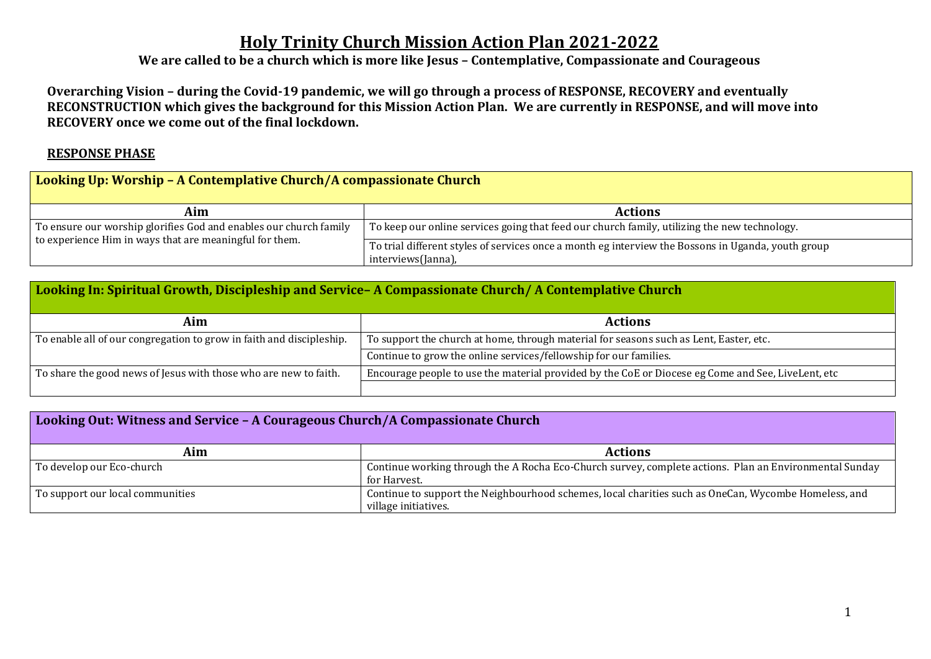## **Holy Trinity Church Mission Action Plan 2021-2022**

**We are called to be a church which is more like Jesus – Contemplative, Compassionate and Courageous**

**Overarching Vision – during the Covid-19 pandemic, we will go through a process of RESPONSE, RECOVERY and eventually RECONSTRUCTION which gives the background for this Mission Action Plan. We are currently in RESPONSE, and will move into RECOVERY once we come out of the final lockdown.**

### **RESPONSE PHASE**

## **Looking Up: Worship – A Contemplative Church/A compassionate Church**

| Aim                                                                                                                          | <b>Actions</b>                                                                                                           |
|------------------------------------------------------------------------------------------------------------------------------|--------------------------------------------------------------------------------------------------------------------------|
| To ensure our worship glorifies God and enables our church family<br>to experience Him in ways that are meaningful for them. | To keep our online services going that feed our church family, utilizing the new technology.                             |
|                                                                                                                              | To trial different styles of services once a month eg interview the Bossons in Uganda, youth group<br>interviews(Janna), |

| Looking In: Spiritual Growth, Discipleship and Service-A Compassionate Church/A Contemplative Church |                                                                                                    |  |
|------------------------------------------------------------------------------------------------------|----------------------------------------------------------------------------------------------------|--|
| Aim                                                                                                  | <b>Actions</b>                                                                                     |  |
| To enable all of our congregation to grow in faith and discipleship.                                 | To support the church at home, through material for seasons such as Lent, Easter, etc.             |  |
|                                                                                                      | Continue to grow the online services/fellowship for our families.                                  |  |
| To share the good news of Jesus with those who are new to faith.                                     | Encourage people to use the material provided by the CoE or Diocese eg Come and See, LiveLent, etc |  |
|                                                                                                      |                                                                                                    |  |

| Looking Out: Witness and Service - A Courageous Church/A Compassionate Church |                                                                                                                              |  |
|-------------------------------------------------------------------------------|------------------------------------------------------------------------------------------------------------------------------|--|
| Aim                                                                           | <b>Actions</b>                                                                                                               |  |
| To develop our Eco-church                                                     | Continue working through the A Rocha Eco-Church survey, complete actions. Plan an Environmental Sunday<br>for Harvest.       |  |
| To support our local communities                                              | Continue to support the Neighbourhood schemes, local charities such as OneCan, Wycombe Homeless, and<br>village initiatives. |  |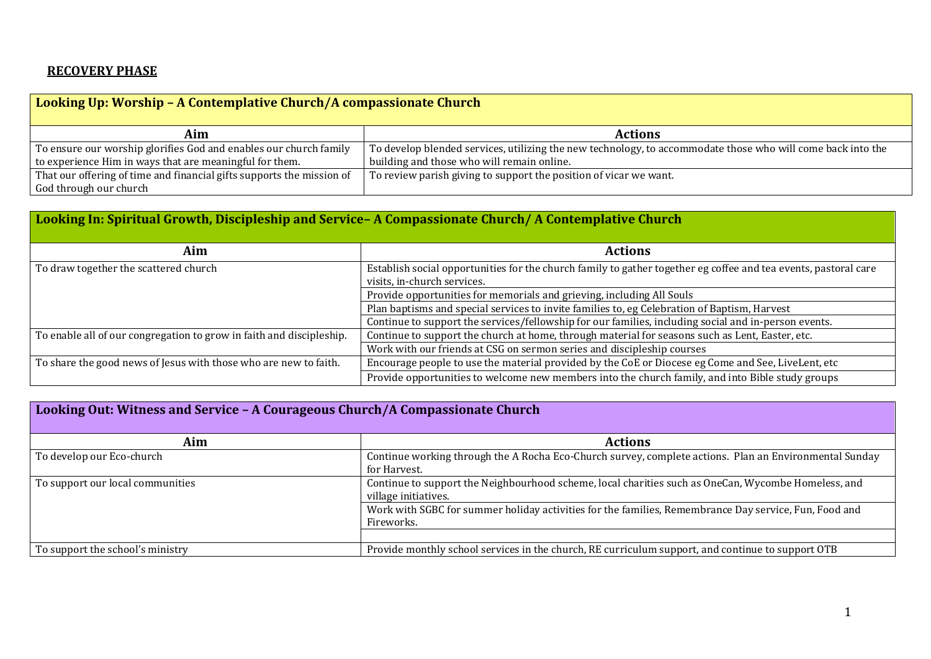### **RECOVERY PHASE**

## **Looking Up: Worship – A Contemplative Church/A compassionate Church**

| Aim                                                                   | <b>Actions</b>                                                                                              |
|-----------------------------------------------------------------------|-------------------------------------------------------------------------------------------------------------|
| To ensure our worship glorifies God and enables our church family     | To develop blended services, utilizing the new technology, to accommodate those who will come back into the |
| to experience Him in ways that are meaningful for them.               | building and those who will remain online.                                                                  |
| That our offering of time and financial gifts supports the mission of | To review parish giving to support the position of vicar we want.                                           |
| God through our church                                                |                                                                                                             |

## **Looking In: Spiritual Growth, Discipleship and Service– A Compassionate Church/ A Contemplative Church**

| Aim                                                                  | <b>Actions</b>                                                                                                  |
|----------------------------------------------------------------------|-----------------------------------------------------------------------------------------------------------------|
| To draw together the scattered church                                | Establish social opportunities for the church family to gather together eg coffee and tea events, pastoral care |
|                                                                      | visits, in-church services.                                                                                     |
|                                                                      | Provide opportunities for memorials and grieving, including All Souls                                           |
|                                                                      | Plan baptisms and special services to invite families to, eg Celebration of Baptism, Harvest                    |
|                                                                      | Continue to support the services/fellowship for our families, including social and in-person events.            |
| To enable all of our congregation to grow in faith and discipleship. | Continue to support the church at home, through material for seasons such as Lent, Easter, etc.                 |
|                                                                      | Work with our friends at CSG on sermon series and discipleship courses                                          |
| To share the good news of Jesus with those who are new to faith.     | Encourage people to use the material provided by the CoE or Diocese eg Come and See, LiveLent, etc              |
|                                                                      | Provide opportunities to welcome new members into the church family, and into Bible study groups                |

# **Looking Out: Witness and Service – A Courageous Church/A Compassionate Church**

| Aim                              | <b>Actions</b>                                                                                         |
|----------------------------------|--------------------------------------------------------------------------------------------------------|
| To develop our Eco-church        | Continue working through the A Rocha Eco-Church survey, complete actions. Plan an Environmental Sunday |
|                                  | for Harvest.                                                                                           |
| To support our local communities | Continue to support the Neighbourhood scheme, local charities such as OneCan, Wycombe Homeless, and    |
|                                  | village initiatives.                                                                                   |
|                                  | Work with SGBC for summer holiday activities for the families, Remembrance Day service, Fun, Food and  |
|                                  | Fireworks.                                                                                             |
|                                  |                                                                                                        |
| To support the school's ministry | Provide monthly school services in the church, RE curriculum support, and continue to support OTB      |